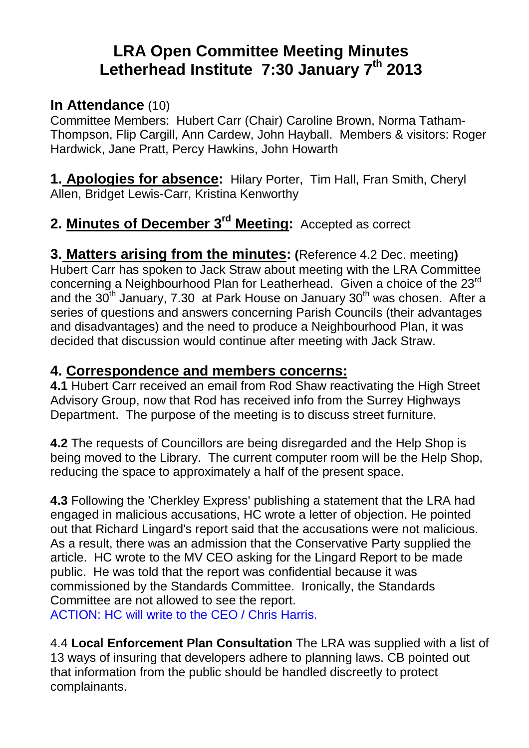# **LRA Open Committee Meeting Minutes Letherhead Institute 7:30 January 7th 2013**

## **In Attendance** (10)

Committee Members: Hubert Carr (Chair) Caroline Brown, Norma Tatham-Thompson, Flip Cargill, Ann Cardew, John Hayball. Members & visitors: Roger Hardwick, Jane Pratt, Percy Hawkins, John Howarth

**1. Apologies for absence:** Hilary Porter, Tim Hall, Fran Smith, Cheryl Allen, Bridget Lewis-Carr, Kristina Kenworthy

## **2. Minutes of December 3rd Meeting:** Accepted as correct

**3. Matters arising from the minutes: (**Reference 4.2 Dec. meeting**)**  Hubert Carr has spoken to Jack Straw about meeting with the LRA Committee concerning a Neighbourhood Plan for Leatherhead. Given a choice of the 23rd and the  $30<sup>th</sup>$  January, 7.30 at Park House on January  $30<sup>th</sup>$  was chosen. After a series of questions and answers concerning Parish Councils (their advantages and disadvantages) and the need to produce a Neighbourhood Plan, it was decided that discussion would continue after meeting with Jack Straw.

## **4. Correspondence and members concerns:**

**4.1** Hubert Carr received an email from Rod Shaw reactivating the High Street Advisory Group, now that Rod has received info from the Surrey Highways Department. The purpose of the meeting is to discuss street furniture.

**4.2** The requests of Councillors are being disregarded and the Help Shop is being moved to the Library. The current computer room will be the Help Shop, reducing the space to approximately a half of the present space.

**4.3** Following the 'Cherkley Express' publishing a statement that the LRA had engaged in malicious accusations, HC wrote a letter of objection. He pointed out that Richard Lingard's report said that the accusations were not malicious. As a result, there was an admission that the Conservative Party supplied the article. HC wrote to the MV CEO asking for the Lingard Report to be made public. He was told that the report was confidential because it was commissioned by the Standards Committee. Ironically, the Standards Committee are not allowed to see the report.

ACTION: HC will write to the CEO / Chris Harris.

4.4 **Local Enforcement Plan Consultation** The LRA was supplied with a list of 13 ways of insuring that developers adhere to planning laws. CB pointed out that information from the public should be handled discreetly to protect complainants.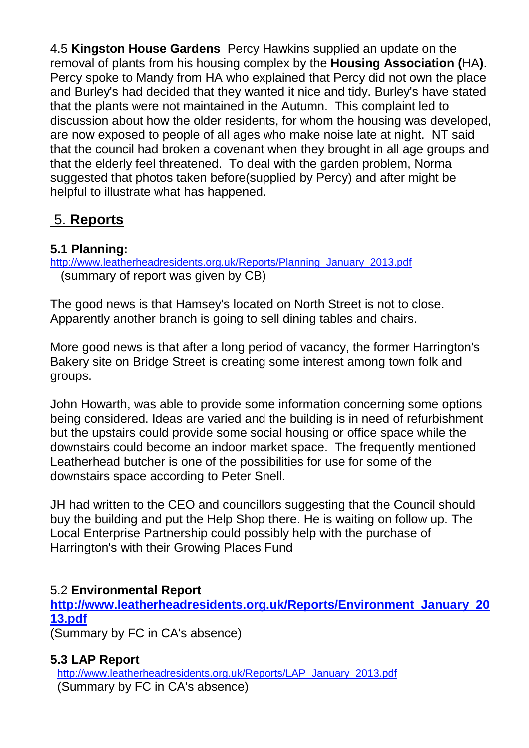4.5 **Kingston House Gardens** Percy Hawkins supplied an update on the removal of plants from his housing complex by the **Housing Association (**HA**)**. Percy spoke to Mandy from HA who explained that Percy did not own the place and Burley's had decided that they wanted it nice and tidy. Burley's have stated that the plants were not maintained in the Autumn. This complaint led to discussion about how the older residents, for whom the housing was developed, are now exposed to people of all ages who make noise late at night. NT said that the council had broken a covenant when they brought in all age groups and that the elderly feel threatened. To deal with the garden problem, Norma suggested that photos taken before(supplied by Percy) and after might be helpful to illustrate what has happened.

## 5. **Reports**

## **5.1 Planning:**

http://www.leatherheadresidents.org.uk/Reports/Planning\_January\_2013.pdf (summary of report was given by CB)

The good news is that Hamsey's located on North Street is not to close. Apparently another branch is going to sell dining tables and chairs.

More good news is that after a long period of vacancy, the former Harrington's Bakery site on Bridge Street is creating some interest among town folk and groups.

John Howarth, was able to provide some information concerning some options being considered. Ideas are varied and the building is in need of refurbishment but the upstairs could provide some social housing or office space while the downstairs could become an indoor market space. The frequently mentioned Leatherhead butcher is one of the possibilities for use for some of the downstairs space according to Peter Snell.

JH had written to the CEO and councillors suggesting that the Council should buy the building and put the Help Shop there. He is waiting on follow up. The Local Enterprise Partnership could possibly help with the purchase of Harrington's with their Growing Places Fund

## 5.2 **Environmental Report**

**http://www.leatherheadresidents.org.uk/Reports/Environment\_January\_20 13.pdf**

(Summary by FC in CA's absence)

## **5.3 LAP Report**

http://www.leatherheadresidents.org.uk/Reports/LAP\_January\_2013.pdf (Summary by FC in CA's absence)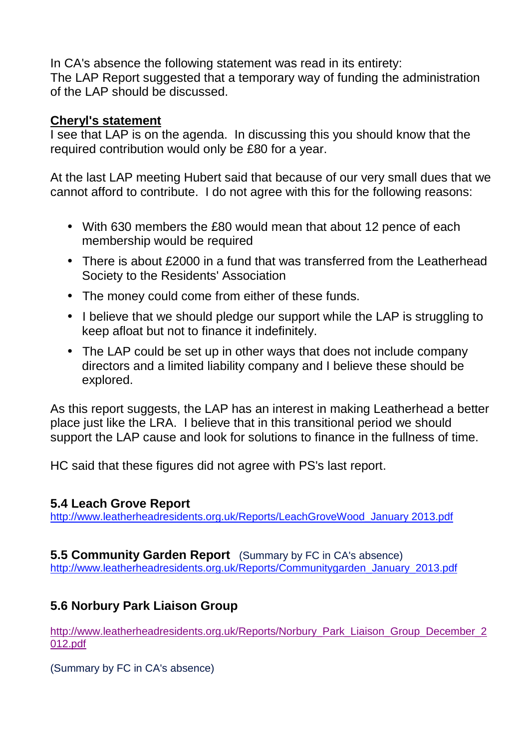In CA's absence the following statement was read in its entirety: The LAP Report suggested that a temporary way of funding the administration of the LAP should be discussed.

### **Cheryl's statement**

I see that LAP is on the agenda. In discussing this you should know that the required contribution would only be £80 for a year.

At the last LAP meeting Hubert said that because of our very small dues that we cannot afford to contribute. I do not agree with this for the following reasons:

- With 630 members the £80 would mean that about 12 pence of each membership would be required
- There is about £2000 in a fund that was transferred from the Leatherhead Society to the Residents' Association
- The money could come from either of these funds.
- I believe that we should pledge our support while the LAP is struggling to keep afloat but not to finance it indefinitely.
- The LAP could be set up in other ways that does not include company directors and a limited liability company and I believe these should be explored.

As this report suggests, the LAP has an interest in making Leatherhead a better place just like the LRA. I believe that in this transitional period we should support the LAP cause and look for solutions to finance in the fullness of time.

HC said that these figures did not agree with PS's last report.

## **5.4 Leach Grove Report**

http://www.leatherheadresidents.org.uk/Reports/LeachGroveWood\_January 2013.pdf

#### **5.5 Community Garden Report** (Summary by FC in CA's absence) http://www.leatherheadresidents.org.uk/Reports/Communitygarden\_January\_2013.pdf

## **5.6 Norbury Park Liaison Group**

http://www.leatherheadresidents.org.uk/Reports/Norbury\_Park\_Liaison\_Group\_December\_2 012.pdf

(Summary by FC in CA's absence)